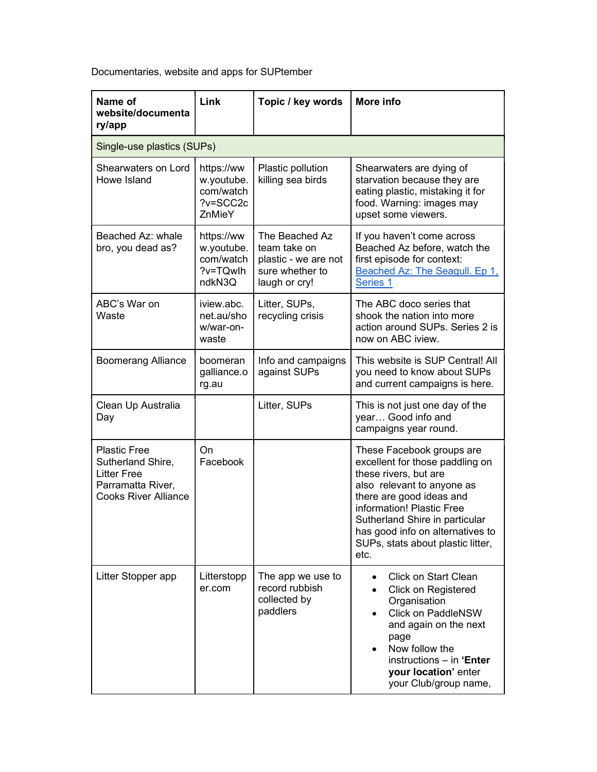Documentaries, website and apps for SUPtember

| Name of<br>website/documenta<br>ry/app                                                                             | Link                                                        | Topic / key words                                                                          | More info                                                                                                                                                                                                                                                                                       |  |  |
|--------------------------------------------------------------------------------------------------------------------|-------------------------------------------------------------|--------------------------------------------------------------------------------------------|-------------------------------------------------------------------------------------------------------------------------------------------------------------------------------------------------------------------------------------------------------------------------------------------------|--|--|
| Single-use plastics (SUPs)                                                                                         |                                                             |                                                                                            |                                                                                                                                                                                                                                                                                                 |  |  |
| Shearwaters on Lord<br>Howe Island                                                                                 | https://ww<br>w.youtube.<br>com/watch<br>?v=SCC2c<br>ZnMieY | Plastic pollution<br>killing sea birds                                                     | Shearwaters are dying of<br>starvation because they are<br>eating plastic, mistaking it for<br>food. Warning: images may<br>upset some viewers.                                                                                                                                                 |  |  |
| Beached Az: whale<br>bro, you dead as?                                                                             | https://ww<br>w.youtube.<br>com/watch<br>?v=TQwlh<br>ndkN3Q | The Beached Az<br>team take on<br>plastic - we are not<br>sure whether to<br>laugh or cry! | If you haven't come across<br>Beached Az before, watch the<br>first episode for context:<br>Beached Az: The Seagull. Ep 1,<br>Series 1                                                                                                                                                          |  |  |
| ABC's War on<br>Waste                                                                                              | iview.abc.<br>net.au/sho<br>w/war-on-<br>waste              | Litter, SUPs,<br>recycling crisis                                                          | The ABC doco series that<br>shook the nation into more<br>action around SUPs. Series 2 is<br>now on ABC iview.                                                                                                                                                                                  |  |  |
| <b>Boomerang Alliance</b>                                                                                          | boomeran<br>galliance.o<br>rg.au                            | Info and campaigns<br>against SUPs                                                         | This website is SUP Central! All<br>you need to know about SUPs<br>and current campaigns is here.                                                                                                                                                                                               |  |  |
| Clean Up Australia<br>Day                                                                                          |                                                             | Litter, SUPs                                                                               | This is not just one day of the<br>year Good info and<br>campaigns year round.                                                                                                                                                                                                                  |  |  |
| <b>Plastic Free</b><br>Sutherland Shire,<br><b>Litter Free</b><br>Parramatta River,<br><b>Cooks River Alliance</b> | On<br>Facebook                                              |                                                                                            | These Facebook groups are<br>excellent for those paddling on<br>these rivers, but are<br>also relevant to anyone as<br>there are good ideas and<br>information! Plastic Free<br>Sutherland Shire in particular<br>has good info on alternatives to<br>SUPs, stats about plastic litter,<br>etc. |  |  |
| Litter Stopper app                                                                                                 | Litterstopp<br>er.com                                       | The app we use to<br>record rubbish<br>collected by<br>paddlers                            | Click on Start Clean<br>$\bullet$<br><b>Click on Registered</b><br>Organisation<br><b>Click on PaddleNSW</b><br>$\bullet$<br>and again on the next<br>page<br>Now follow the<br>instructions - in 'Enter<br>your location' enter<br>your Club/group name,                                       |  |  |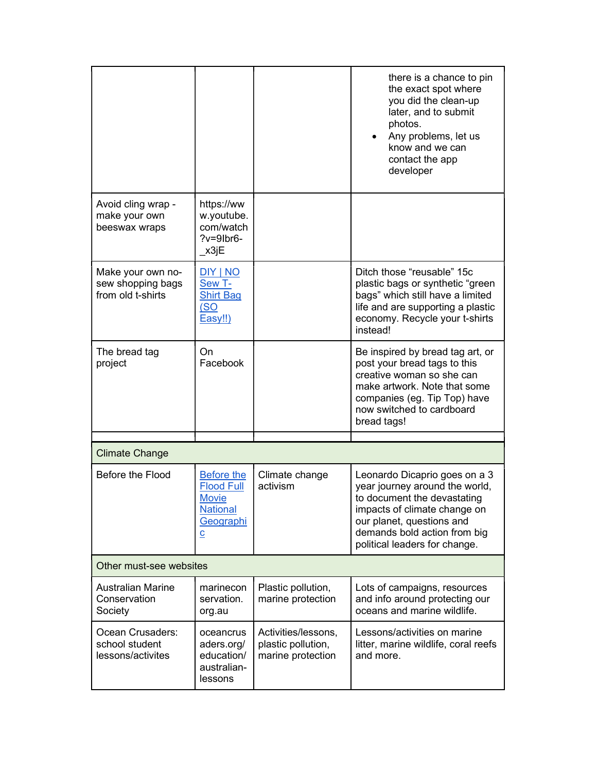|                                                             |                                                                                                   |                                                                | there is a chance to pin<br>the exact spot where<br>you did the clean-up<br>later, and to submit<br>photos.<br>Any problems, let us<br>know and we can<br>contact the app<br>developer                                       |  |  |  |
|-------------------------------------------------------------|---------------------------------------------------------------------------------------------------|----------------------------------------------------------------|------------------------------------------------------------------------------------------------------------------------------------------------------------------------------------------------------------------------------|--|--|--|
| Avoid cling wrap -<br>make your own<br>beeswax wraps        | https://ww<br>w.youtube.<br>com/watch<br>$?v=9$ lbr6-<br>x3jE                                     |                                                                |                                                                                                                                                                                                                              |  |  |  |
| Make your own no-<br>sew shopping bags<br>from old t-shirts | DIY   NO<br>Sew T-<br><b>Shirt Bag</b><br>(SO)<br>Easy!!)                                         |                                                                | Ditch those "reusable" 15c<br>plastic bags or synthetic "green<br>bags" which still have a limited<br>life and are supporting a plastic<br>economy. Recycle your t-shirts<br>instead!                                        |  |  |  |
| The bread tag<br>project                                    | On.<br>Facebook                                                                                   |                                                                | Be inspired by bread tag art, or<br>post your bread tags to this<br>creative woman so she can<br>make artwork. Note that some<br>companies (eg. Tip Top) have<br>now switched to cardboard<br>bread tags!                    |  |  |  |
| <b>Climate Change</b>                                       |                                                                                                   |                                                                |                                                                                                                                                                                                                              |  |  |  |
| Before the Flood                                            | Before the<br><b>Flood Full</b><br><b>Movie</b><br><b>National</b><br>Geographi<br>$\overline{c}$ | Climate change<br>activism                                     | Leonardo Dicaprio goes on a 3<br>year journey around the world,<br>to document the devastating<br>impacts of climate change on<br>our planet, questions and<br>demands bold action from big<br>political leaders for change. |  |  |  |
| Other must-see websites                                     |                                                                                                   |                                                                |                                                                                                                                                                                                                              |  |  |  |
| <b>Australian Marine</b><br>Conservation<br>Society         | marinecon<br>servation.<br>org.au                                                                 | Plastic pollution,<br>marine protection                        | Lots of campaigns, resources<br>and info around protecting our<br>oceans and marine wildlife.                                                                                                                                |  |  |  |
| Ocean Crusaders:<br>school student<br>lessons/activites     | oceancrus<br>aders.org/<br>education/<br>australian-<br>lessons                                   | Activities/lessons,<br>plastic pollution,<br>marine protection | Lessons/activities on marine<br>litter, marine wildlife, coral reefs<br>and more.                                                                                                                                            |  |  |  |